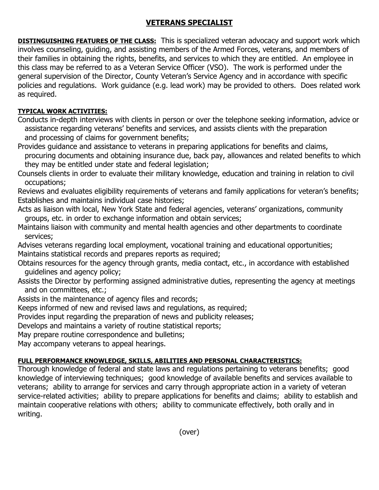## **VETERANS SPECIALIST**

**DISTINGUISHING FEATURES OF THE CLASS:** This is specialized veteran advocacy and support work which involves counseling, guiding, and assisting members of the Armed Forces, veterans, and members of their families in obtaining the rights, benefits, and services to which they are entitled. An employee in this class may be referred to as a Veteran Service Officer (VSO). The work is performed under the general supervision of the Director, County Veteran's Service Agency and in accordance with specific policies and regulations. Work guidance (e.g. lead work) may be provided to others. Does related work as required.

## **TYPICAL WORK ACTIVITIES:**

Conducts in-depth interviews with clients in person or over the telephone seeking information, advice or assistance regarding veterans' benefits and services, and assists clients with the preparation and processing of claims for government benefits;

Provides guidance and assistance to veterans in preparing applications for benefits and claims, procuring documents and obtaining insurance due, back pay, allowances and related benefits to which they may be entitled under state and federal legislation;

Counsels clients in order to evaluate their military knowledge, education and training in relation to civil occupations;

Reviews and evaluates eligibility requirements of veterans and family applications for veteran's benefits; Establishes and maintains individual case histories;

Acts as liaison with local, New York State and federal agencies, veterans' organizations, community groups, etc. in order to exchange information and obtain services;

Maintains liaison with community and mental health agencies and other departments to coordinate services;

Advises veterans regarding local employment, vocational training and educational opportunities; Maintains statistical records and prepares reports as required;

Obtains resources for the agency through grants, media contact, etc., in accordance with established guidelines and agency policy;

Assists the Director by performing assigned administrative duties, representing the agency at meetings and on committees, etc.;

Assists in the maintenance of agency files and records;

Keeps informed of new and revised laws and regulations, as required;

Provides input regarding the preparation of news and publicity releases;

Develops and maintains a variety of routine statistical reports;

May prepare routine correspondence and bulletins;

May accompany veterans to appeal hearings.

## **FULL PERFORMANCE KNOWLEDGE, SKILLS, ABILITIES AND PERSONAL CHARACTERISTICS:**

Thorough knowledge of federal and state laws and regulations pertaining to veterans benefits; good knowledge of interviewing techniques; good knowledge of available benefits and services available to veterans; ability to arrange for services and carry through appropriate action in a variety of veteran service-related activities; ability to prepare applications for benefits and claims; ability to establish and maintain cooperative relations with others; ability to communicate effectively, both orally and in writing.

(over)